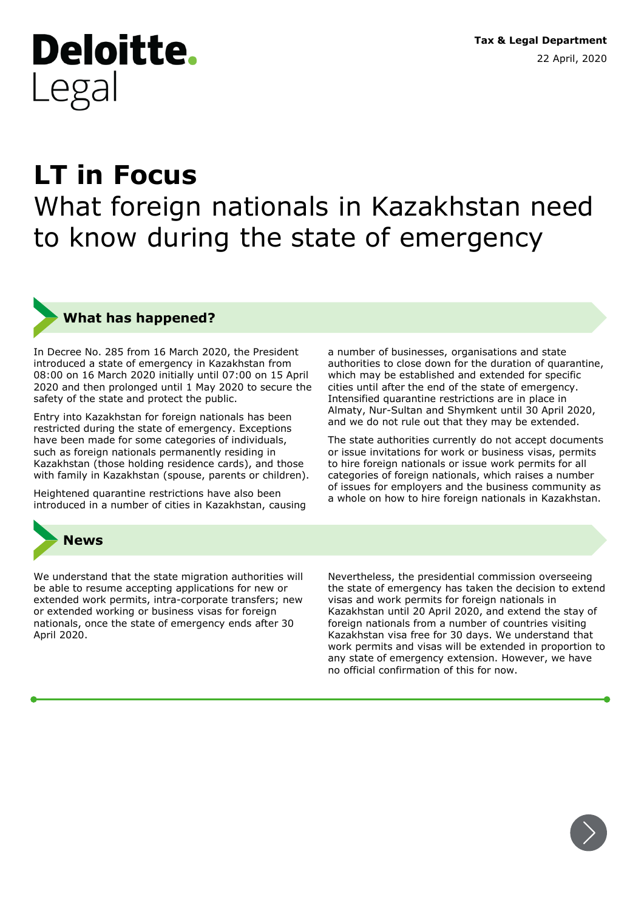**Tax & Legal Department** 22 April, 2020

# **LT in Focus** What foreign nationals in Kazakhstan need to know during the state of emergency

**What has happened?**

**Deloitte.** 

Legal

In Decree No. 285 from 16 March 2020, the President introduced a state of emergency in Kazakhstan from 08:00 on 16 March 2020 initially until 07:00 on 15 April 2020 and then prolonged until 1 May 2020 to secure the safety of the state and protect the public.

Entry into Kazakhstan for foreign nationals has been restricted during the state of emergency. Exceptions have been made for some categories of individuals, such as foreign nationals permanently residing in Kazakhstan (those holding residence cards), and those with family in Kazakhstan (spouse, parents or children).

Heightened quarantine restrictions have also been introduced in a number of cities in Kazakhstan, causing



We understand that the state migration authorities will be able to resume accepting applications for new or extended work permits, intra-corporate transfers; new or extended working or business visas for foreign nationals, once the state of emergency ends after 30 April 2020.

Nevertheless, the presidential commission overseeing the state of emergency has taken the decision to extend visas and work permits for foreign nationals in Kazakhstan until 20 April 2020, and extend the stay of foreign nationals from a number of countries visiting Kazakhstan visa free for 30 days. We understand that work permits and visas will be extended in proportion to any state of emergency extension. However, we have no official confirmation of this for now.

a number of businesses, organisations and state authorities to close down for the duration of quarantine, which may be established and extended for specific cities until after the end of the state of emergency. Intensified quarantine restrictions are in place in Almaty, Nur-Sultan and Shymkent until 30 April 2020, and we do not rule out that they may be extended.

The state authorities currently do not accept documents or issue invitations for work or business visas, permits to hire foreign nationals or issue work permits for all categories of foreign nationals, which raises a number of issues for employers and the business community as a whole on how to hire foreign nationals in Kazakhstan.

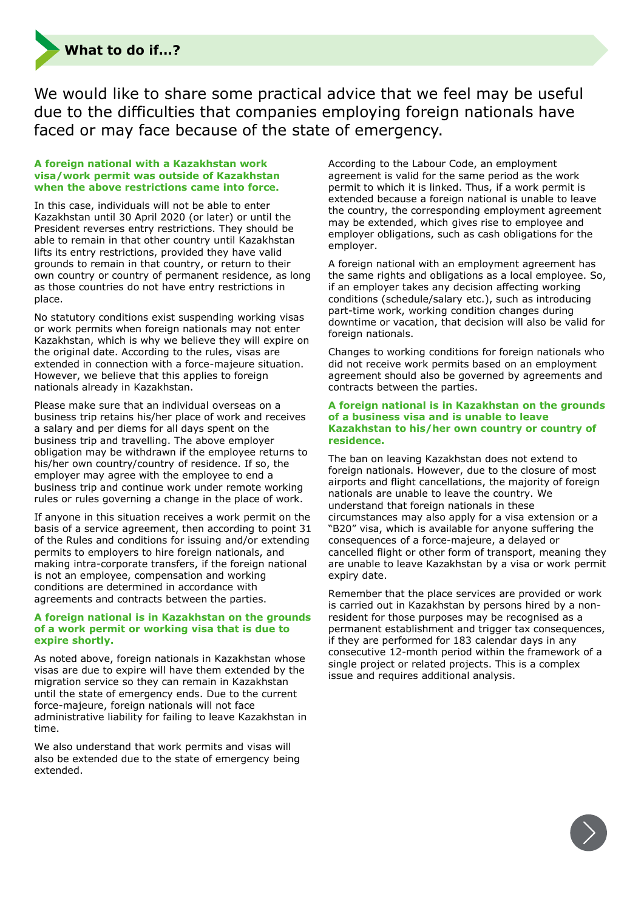

We would like to share some practical advice that we feel may be useful due to the difficulties that companies employing foreign nationals have faced or may face because of the state of emergency.

### **A foreign national with a Kazakhstan work visa/work permit was outside of Kazakhstan when the above restrictions came into force.**

In this case, individuals will not be able to enter Kazakhstan until 30 April 2020 (or later) or until the President reverses entry restrictions. They should be able to remain in that other country until Kazakhstan lifts its entry restrictions, provided they have valid grounds to remain in that country, or return to their own country or country of permanent residence, as long as those countries do not have entry restrictions in place.

No statutory conditions exist suspending working visas or work permits when foreign nationals may not enter Kazakhstan, which is why we believe they will expire on the original date. According to the rules, visas are extended in connection with a force-majeure situation. However, we believe that this applies to foreign nationals already in Kazakhstan.

Please make sure that an individual overseas on a business trip retains his/her place of work and receives a salary and per diems for all days spent on the business trip and travelling. The above employer obligation may be withdrawn if the employee returns to his/her own country/country of residence. If so, the employer may agree with the employee to end a business trip and continue work under remote working rules or rules governing a change in the place of work.

If anyone in this situation receives a work permit on the basis of a service agreement, then according to point 31 of the Rules and conditions for issuing and/or extending permits to employers to hire foreign nationals, and making intra-corporate transfers, if the foreign national is not an employee, compensation and working conditions are determined in accordance with agreements and contracts between the parties.

## **A foreign national is in Kazakhstan on the grounds of a work permit or working visa that is due to expire shortly.**

As noted above, foreign nationals in Kazakhstan whose visas are due to expire will have them extended by the migration service so they can remain in Kazakhstan until the state of emergency ends. Due to the current force-majeure, foreign nationals will not face administrative liability for failing to leave Kazakhstan in time.

We also understand that work permits and visas will also be extended due to the state of emergency being extended.

According to the Labour Code, an employment agreement is valid for the same period as the work permit to which it is linked. Thus, if a work permit is extended because a foreign national is unable to leave the country, the corresponding employment agreement may be extended, which gives rise to employee and employer obligations, such as cash obligations for the employer.

A foreign national with an employment agreement has the same rights and obligations as a local employee. So, if an employer takes any decision affecting working conditions (schedule/salary etc.), such as introducing part-time work, working condition changes during downtime or vacation, that decision will also be valid for foreign nationals.

Changes to working conditions for foreign nationals who did not receive work permits based on an employment agreement should also be governed by agreements and contracts between the parties.

# **A foreign national is in Kazakhstan on the grounds of a business visa and is unable to leave Kazakhstan to his/her own country or country of residence.**

The ban on leaving Kazakhstan does not extend to foreign nationals. However, due to the closure of most airports and flight cancellations, the majority of foreign nationals are unable to leave the country. We understand that foreign nationals in these circumstances may also apply for a visa extension or a "В20" visa, which is available for anyone suffering the consequences of a force-majeure, a delayed or cancelled flight or other form of transport, meaning they are unable to leave Kazakhstan by a visa or work permit expiry date.

Remember that the place services are provided or work is carried out in Kazakhstan by persons hired by a nonresident for those purposes may be recognised as a permanent establishment and trigger tax consequences, if they are performed for 183 calendar days in any consecutive 12-month period within the framework of a single project or related projects. This is a complex issue and requires additional analysis.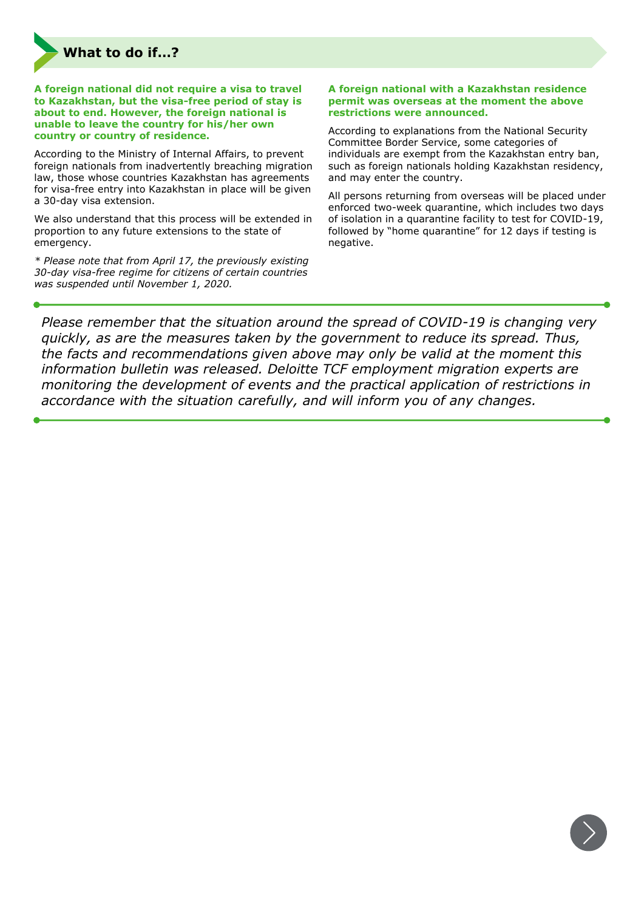

**A foreign national did not require a visa to travel to Kazakhstan, but the visa-free period of stay is about to end. However, the foreign national is unable to leave the country for his/her own country or country of residence.**

According to the Ministry of Internal Affairs, to prevent foreign nationals from inadvertently breaching migration law, those whose countries Kazakhstan has agreements for visa-free entry into Kazakhstan in place will be given a 30-day visa extension.

We also understand that this process will be extended in proportion to any future extensions to the state of emergency.

*\* Please note that from April 17, the previously existing 30-day visa-free regime for citizens of certain countries was suspended until November 1, 2020.*

### **A foreign national with a Kazakhstan residence permit was overseas at the moment the above restrictions were announced.**

According to explanations from the National Security Committee Border Service, some categories of individuals are exempt from the Kazakhstan entry ban, such as foreign nationals holding Kazakhstan residency, and may enter the country.

All persons returning from overseas will be placed under enforced two-week quarantine, which includes two days of isolation in a quarantine facility to test for COVID-19, followed by "home quarantine" for 12 days if testing is negative.

*Please remember that the situation around the spread of COVID-19 is changing very quickly, as are the measures taken by the government to reduce its spread. Thus, the facts and recommendations given above may only be valid at the moment this information bulletin was released. Deloitte TCF employment migration experts are monitoring the development of events and the practical application of restrictions in accordance with the situation carefully, and will inform you of any changes.*